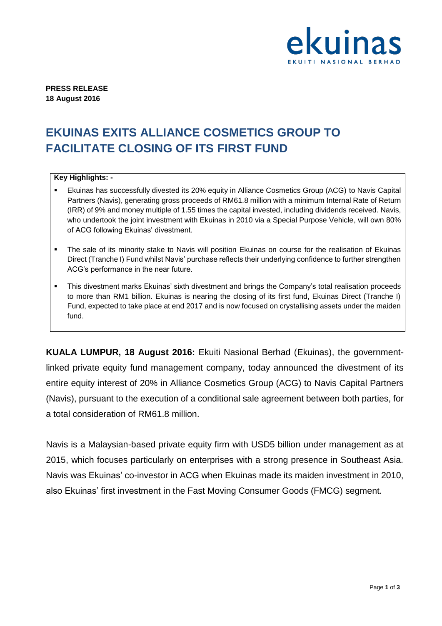

**PRESS RELEASE 18 August 2016**

## **EKUINAS EXITS ALLIANCE COSMETICS GROUP TO FACILITATE CLOSING OF ITS FIRST FUND**

## **Key Highlights: -**

- Ekuinas has successfully divested its 20% equity in Alliance Cosmetics Group (ACG) to Navis Capital Partners (Navis), generating gross proceeds of RM61.8 million with a minimum Internal Rate of Return (IRR) of 9% and money multiple of 1.55 times the capital invested, including dividends received. Navis, who undertook the joint investment with Ekuinas in 2010 via a Special Purpose Vehicle, will own 80% of ACG following Ekuinas' divestment.
- The sale of its minority stake to Navis will position Ekuinas on course for the realisation of Ekuinas Direct (Tranche I) Fund whilst Navis' purchase reflects their underlying confidence to further strengthen ACG's performance in the near future.
- This divestment marks Ekuinas' sixth divestment and brings the Company's total realisation proceeds to more than RM1 billion. Ekuinas is nearing the closing of its first fund, Ekuinas Direct (Tranche I) Fund, expected to take place at end 2017 and is now focused on crystallising assets under the maiden fund.

**KUALA LUMPUR, 18 August 2016:** Ekuiti Nasional Berhad (Ekuinas), the governmentlinked private equity fund management company, today announced the divestment of its entire equity interest of 20% in Alliance Cosmetics Group (ACG) to Navis Capital Partners (Navis), pursuant to the execution of a conditional sale agreement between both parties, for a total consideration of RM61.8 million.

Navis is a Malaysian-based private equity firm with USD5 billion under management as at 2015, which focuses particularly on enterprises with a strong presence in Southeast Asia. Navis was Ekuinas' co-investor in ACG when Ekuinas made its maiden investment in 2010, also Ekuinas' first investment in the Fast Moving Consumer Goods (FMCG) segment.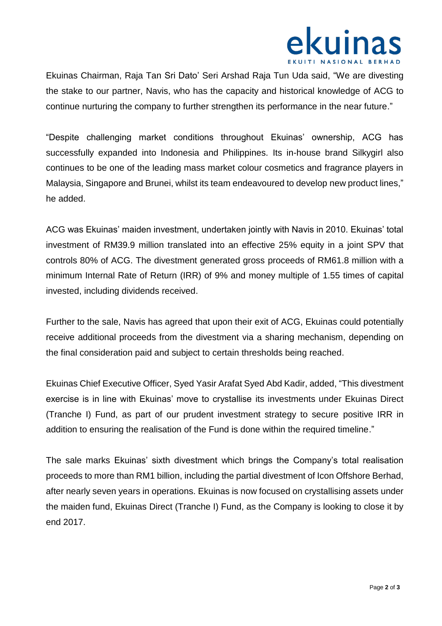

Ekuinas Chairman, Raja Tan Sri Dato' Seri Arshad Raja Tun Uda said, "We are divesting the stake to our partner, Navis, who has the capacity and historical knowledge of ACG to continue nurturing the company to further strengthen its performance in the near future."

"Despite challenging market conditions throughout Ekuinas' ownership, ACG has successfully expanded into Indonesia and Philippines. Its in-house brand Silkygirl also continues to be one of the leading mass market colour cosmetics and fragrance players in Malaysia, Singapore and Brunei, whilst its team endeavoured to develop new product lines," he added.

ACG was Ekuinas' maiden investment, undertaken jointly with Navis in 2010. Ekuinas' total investment of RM39.9 million translated into an effective 25% equity in a joint SPV that controls 80% of ACG. The divestment generated gross proceeds of RM61.8 million with a minimum Internal Rate of Return (IRR) of 9% and money multiple of 1.55 times of capital invested, including dividends received.

Further to the sale, Navis has agreed that upon their exit of ACG, Ekuinas could potentially receive additional proceeds from the divestment via a sharing mechanism, depending on the final consideration paid and subject to certain thresholds being reached.

Ekuinas Chief Executive Officer, Syed Yasir Arafat Syed Abd Kadir, added, "This divestment exercise is in line with Ekuinas' move to crystallise its investments under Ekuinas Direct (Tranche I) Fund, as part of our prudent investment strategy to secure positive IRR in addition to ensuring the realisation of the Fund is done within the required timeline."

The sale marks Ekuinas' sixth divestment which brings the Company's total realisation proceeds to more than RM1 billion, including the partial divestment of Icon Offshore Berhad, after nearly seven years in operations. Ekuinas is now focused on crystallising assets under the maiden fund, Ekuinas Direct (Tranche I) Fund, as the Company is looking to close it by end 2017.